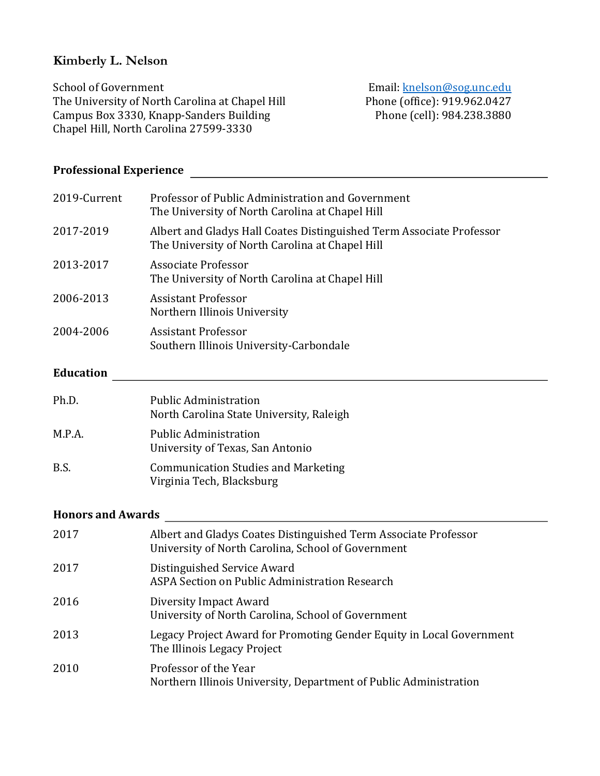### **Kimberly L. Nelson**

School of Government Email: knelson@sog.unc.edu The University of North Carolina at Chapel Hill Phone (office): 919.962.0427<br>Campus Box 3330, Knapp-Sanders Building Phone (cell): 984.238.3880 Campus Box 3330, Knapp-Sanders Building Chapel Hill, North Carolina 27599-3330

# Professional Experience **<u>contracts</u> CONFIDENTIAL EXPERIENCE 2**

| Professor of Public Administration and Government<br>2019-Current<br>The University of North Carolina at Chapel Hill<br>2017-2019<br>Albert and Gladys Hall Coates Distinguished Term Associate Professor<br>The University of North Carolina at Chapel Hill<br><b>Associate Professor</b><br>2013-2017<br>The University of North Carolina at Chapel Hill<br>2006-2013<br><b>Assistant Professor</b><br>Northern Illinois University<br>2004-2006<br><b>Assistant Professor</b><br>Southern Illinois University-Carbondale<br><b>Education</b><br>Ph.D.<br><b>Public Administration</b><br>North Carolina State University, Raleigh<br>M.P.A.<br><b>Public Administration</b><br>University of Texas, San Antonio<br>B.S.<br><b>Communication Studies and Marketing</b><br>Virginia Tech, Blacksburg |  |
|-------------------------------------------------------------------------------------------------------------------------------------------------------------------------------------------------------------------------------------------------------------------------------------------------------------------------------------------------------------------------------------------------------------------------------------------------------------------------------------------------------------------------------------------------------------------------------------------------------------------------------------------------------------------------------------------------------------------------------------------------------------------------------------------------------|--|
|                                                                                                                                                                                                                                                                                                                                                                                                                                                                                                                                                                                                                                                                                                                                                                                                       |  |
|                                                                                                                                                                                                                                                                                                                                                                                                                                                                                                                                                                                                                                                                                                                                                                                                       |  |
|                                                                                                                                                                                                                                                                                                                                                                                                                                                                                                                                                                                                                                                                                                                                                                                                       |  |
|                                                                                                                                                                                                                                                                                                                                                                                                                                                                                                                                                                                                                                                                                                                                                                                                       |  |
|                                                                                                                                                                                                                                                                                                                                                                                                                                                                                                                                                                                                                                                                                                                                                                                                       |  |
|                                                                                                                                                                                                                                                                                                                                                                                                                                                                                                                                                                                                                                                                                                                                                                                                       |  |
|                                                                                                                                                                                                                                                                                                                                                                                                                                                                                                                                                                                                                                                                                                                                                                                                       |  |
|                                                                                                                                                                                                                                                                                                                                                                                                                                                                                                                                                                                                                                                                                                                                                                                                       |  |
|                                                                                                                                                                                                                                                                                                                                                                                                                                                                                                                                                                                                                                                                                                                                                                                                       |  |

## **Honors and Awards**

| 2017 | Albert and Gladys Coates Distinguished Term Associate Professor<br>University of North Carolina, School of Government |
|------|-----------------------------------------------------------------------------------------------------------------------|
| 2017 | Distinguished Service Award<br>ASPA Section on Public Administration Research                                         |
| 2016 | Diversity Impact Award<br>University of North Carolina, School of Government                                          |
| 2013 | Legacy Project Award for Promoting Gender Equity in Local Government<br>The Illinois Legacy Project                   |
| 2010 | Professor of the Year<br>Northern Illinois University, Department of Public Administration                            |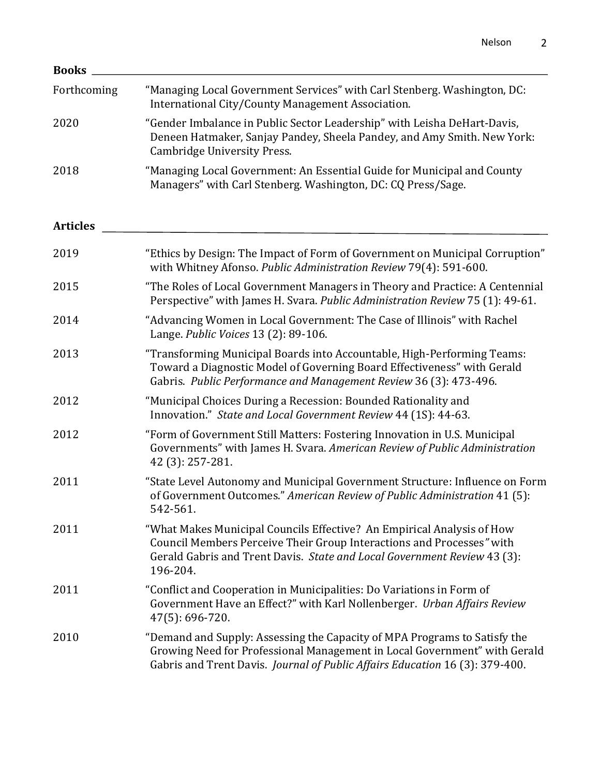| <b>Books</b>    |                                                                                                                                                                                                                                         |
|-----------------|-----------------------------------------------------------------------------------------------------------------------------------------------------------------------------------------------------------------------------------------|
| Forthcoming     | "Managing Local Government Services" with Carl Stenberg. Washington, DC:<br>International City/County Management Association.                                                                                                           |
| 2020            | "Gender Imbalance in Public Sector Leadership" with Leisha DeHart-Davis,<br>Deneen Hatmaker, Sanjay Pandey, Sheela Pandey, and Amy Smith. New York:<br><b>Cambridge University Press.</b>                                               |
| 2018            | "Managing Local Government: An Essential Guide for Municipal and County<br>Managers" with Carl Stenberg. Washington, DC: CQ Press/Sage.                                                                                                 |
| <b>Articles</b> |                                                                                                                                                                                                                                         |
| 2019            | "Ethics by Design: The Impact of Form of Government on Municipal Corruption"<br>with Whitney Afonso. Public Administration Review 79(4): 591-600.                                                                                       |
| 2015            | "The Roles of Local Government Managers in Theory and Practice: A Centennial<br>Perspective" with James H. Svara. Public Administration Review 75 (1): 49-61.                                                                           |
| 2014            | "Advancing Women in Local Government: The Case of Illinois" with Rachel<br>Lange. Public Voices 13 (2): 89-106.                                                                                                                         |
| 2013            | "Transforming Municipal Boards into Accountable, High-Performing Teams:<br>Toward a Diagnostic Model of Governing Board Effectiveness" with Gerald<br>Gabris. Public Performance and Management Review 36 (3): 473-496.                 |
| 2012            | "Municipal Choices During a Recession: Bounded Rationality and<br>Innovation." State and Local Government Review 44 (1S): 44-63.                                                                                                        |
| 2012            | "Form of Government Still Matters: Fostering Innovation in U.S. Municipal<br>Governments" with James H. Svara. American Review of Public Administration<br>42 (3): 257-281.                                                             |
| 2011            | "State Level Autonomy and Municipal Government Structure: Influence on Form<br>of Government Outcomes." American Review of Public Administration 41 (5):<br>542-561.                                                                    |
| 2011            | "What Makes Municipal Councils Effective? An Empirical Analysis of How<br>Council Members Perceive Their Group Interactions and Processes" with<br>Gerald Gabris and Trent Davis. State and Local Government Review 43 (3):<br>196-204. |
| 2011            | "Conflict and Cooperation in Municipalities: Do Variations in Form of<br>Government Have an Effect?" with Karl Nollenberger. Urban Affairs Review<br>47(5): 696-720.                                                                    |
| 2010            | "Demand and Supply: Assessing the Capacity of MPA Programs to Satisfy the<br>Growing Need for Professional Management in Local Government" with Gerald<br>Gabris and Trent Davis. Journal of Public Affairs Education 16 (3): 379-400.  |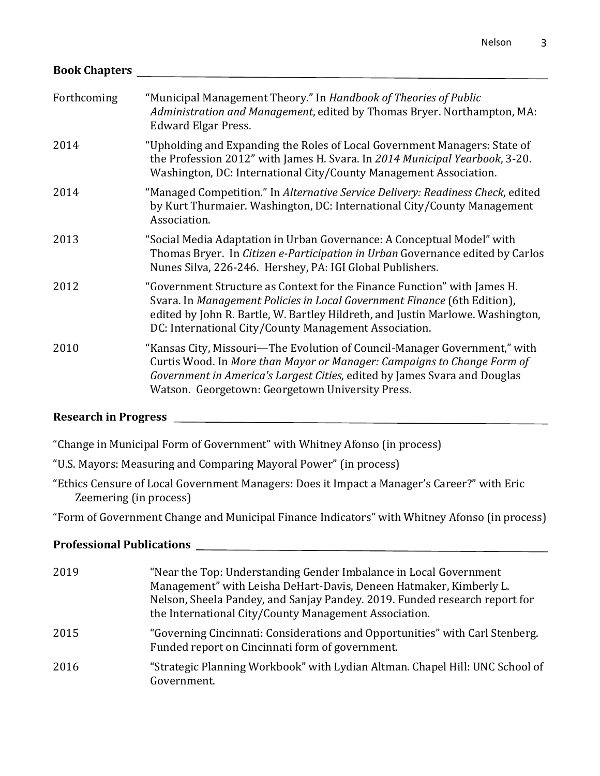# **Book Chapters**

| Forthcoming | "Municipal Management Theory." In Handbook of Theories of Public<br>Administration and Management, edited by Thomas Bryer. Northampton, MA:<br><b>Edward Elgar Press.</b>                                                                                                                       |
|-------------|-------------------------------------------------------------------------------------------------------------------------------------------------------------------------------------------------------------------------------------------------------------------------------------------------|
| 2014        | "Upholding and Expanding the Roles of Local Government Managers: State of<br>the Profession 2012" with James H. Svara. In 2014 Municipal Yearbook, 3-20.<br>Washington, DC: International City/County Management Association.                                                                   |
| 2014        | "Managed Competition." In Alternative Service Delivery: Readiness Check, edited<br>by Kurt Thurmaier. Washington, DC: International City/County Management<br>Association.                                                                                                                      |
| 2013        | "Social Media Adaptation in Urban Governance: A Conceptual Model" with<br>Thomas Bryer. In Citizen e-Participation in Urban Governance edited by Carlos<br>Nunes Silva, 226-246. Hershey, PA: IGI Global Publishers.                                                                            |
| 2012        | "Government Structure as Context for the Finance Function" with James H.<br>Svara. In Management Policies in Local Government Finance (6th Edition),<br>edited by John R. Bartle, W. Bartley Hildreth, and Justin Marlowe. Washington,<br>DC: International City/County Management Association. |
| 2010        | "Kansas City, Missouri—The Evolution of Council-Manager Government," with<br>Curtis Wood. In More than Mayor or Manager: Campaigns to Change Form of<br>Government in America's Largest Cities, edited by James Svara and Douglas<br>Watson. Georgetown: Georgetown University Press.           |

### **Research in Progress**

"Change in Municipal Form of Government" with Whitney Afonso (in process)

"U.S. Mayors: Measuring and Comparing Mayoral Power" (in process)

"Ethics Censure of Local Government Managers: Does it Impact a Manager's Career?" with Eric Zeemering (in process)

"Form of Government Change and Municipal Finance Indicators" with Whitney Afonso (in process)

### **Professional Publications**

| 2019 | "Near the Top: Understanding Gender Imbalance in Local Government<br>Management" with Leisha DeHart-Davis, Deneen Hatmaker, Kimberly L.<br>Nelson, Sheela Pandey, and Sanjay Pandey. 2019. Funded research report for<br>the International City/County Management Association. |
|------|--------------------------------------------------------------------------------------------------------------------------------------------------------------------------------------------------------------------------------------------------------------------------------|
| 2015 | "Governing Cincinnati: Considerations and Opportunities" with Carl Stenberg.<br>Funded report on Cincinnati form of government.                                                                                                                                                |
| 2016 | "Strategic Planning Workbook" with Lydian Altman. Chapel Hill: UNC School of<br>Government.                                                                                                                                                                                    |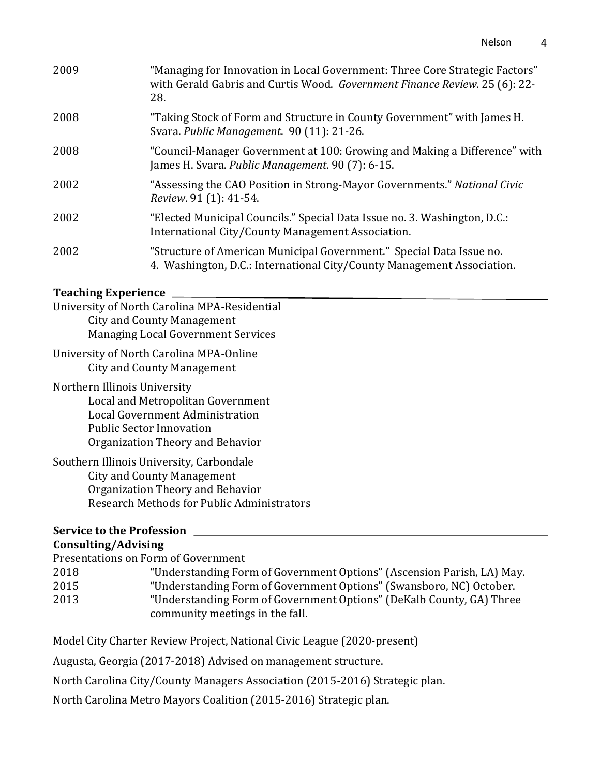| 2009 | "Managing for Innovation in Local Government: Three Core Strategic Factors"<br>with Gerald Gabris and Curtis Wood. Government Finance Review. 25 (6): 22-<br>28. |
|------|------------------------------------------------------------------------------------------------------------------------------------------------------------------|
| 2008 | "Taking Stock of Form and Structure in County Government" with James H.<br>Svara. Public Management. 90 (11): 21-26.                                             |
| 2008 | "Council-Manager Government at 100: Growing and Making a Difference" with<br>James H. Svara. Public Management. 90 (7): 6-15.                                    |
| 2002 | "Assessing the CAO Position in Strong-Mayor Governments." National Civic<br><i>Review.</i> 91 (1): 41-54.                                                        |
| 2002 | "Elected Municipal Councils." Special Data Issue no. 3. Washington, D.C.:<br>International City/County Management Association.                                   |
| 2002 | "Structure of American Municipal Government." Special Data Issue no.<br>4. Washington, D.C.: International City/County Management Association.                   |

#### **Teaching Experience** <u>*CONSERIENCERS* **CONSERIES**</u>

| University of North Carolina MPA-Residential |
|----------------------------------------------|
| <b>City and County Management</b>            |
| <b>Managing Local Government Services</b>    |

University of North Carolina MPA-Online City and County Management

Northern Illinois University Local and Metropolitan Government Local Government Administration Public Sector Innovation Organization Theory and Behavior

### Southern Illinois University, Carbondale City and County Management Organization Theory and Behavior Research Methods for Public Administrators

## **Service to the Profession**

## **Consulting/Advising**

Presentations on Form of Government

| 2018 | "Understanding Form of Government Options" (Ascension Parish, LA) May. |
|------|------------------------------------------------------------------------|
| 2015 | "Understanding Form of Government Options" (Swansboro, NC) October.    |
| 2013 | "Understanding Form of Government Options" (DeKalb County, GA) Three   |
|      | community meetings in the fall.                                        |

Model City Charter Review Project, National Civic League (2020-present)

Augusta, Georgia (2017-2018) Advised on management structure.

North Carolina City/County Managers Association (2015-2016) Strategic plan.

North Carolina Metro Mayors Coalition (2015-2016) Strategic plan.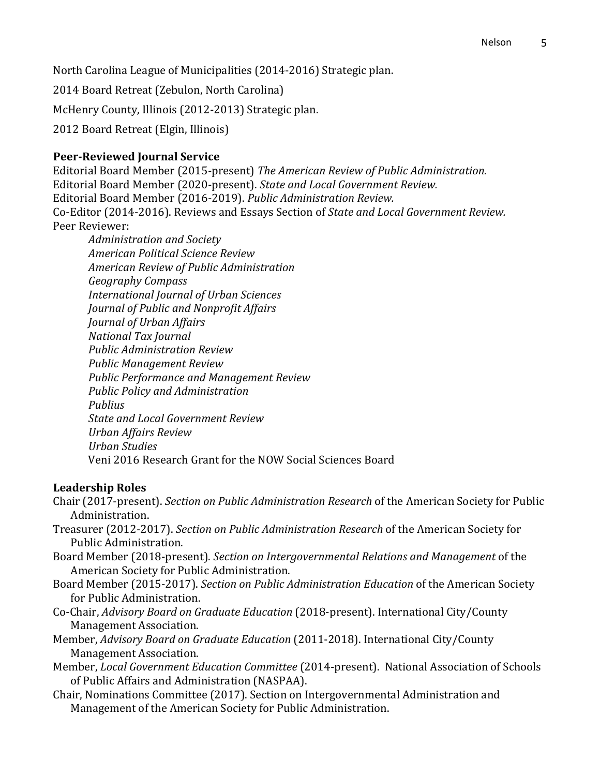North Carolina League of Municipalities (2014-2016) Strategic plan.

2014 Board Retreat (Zebulon, North Carolina)

McHenry County, Illinois (2012-2013) Strategic plan.

2012 Board Retreat (Elgin, Illinois)

#### **Peer-Reviewed Journal Service**

Editorial Board Member (2015-present) The American Review of Public Administration. Editorial Board Member (2020-present). *State and Local Government Review.* Editorial Board Member (2016-2019). Public Administration Review. Co-Editor (2014-2016). Reviews and Essays Section of *State and Local Government Review.* Peer Reviewer:

*Administration and Society American Political Science Review American Review of Public Administration Geography Compass International Journal of Urban Sciences Journal of Public and Nonprofit Affairs Journal of Urban Affairs National Tax Journal Public Administration Review Public Management Review* **Public Performance and Management Review** *Public Policy and Administration Publius State and Local Government Review Urban Affairs Review Urban Studies* Veni 2016 Research Grant for the NOW Social Sciences Board

#### **Leadership Roles**

- Chair (2017-present). *Section on Public Administration Research* of the American Society for Public Administration.
- Treasurer (2012-2017). *Section on Public Administration Research* of the American Society for Public Administration.
- Board Member (2018-present). *Section on Intergovernmental Relations and Management* of the American Society for Public Administration.
- Board Member (2015-2017). *Section on Public Administration Education* of the American Society for Public Administration.
- Co-Chair, *Advisory Board on Graduate Education* (2018-present). International City/County Management Association.
- Member, *Advisory Board on Graduate Education* (2011-2018). International City/County Management Association.
- Member, *Local Government Education Committee* (2014-present). National Association of Schools of Public Affairs and Administration (NASPAA).
- Chair, Nominations Committee (2017). Section on Intergovernmental Administration and Management of the American Society for Public Administration.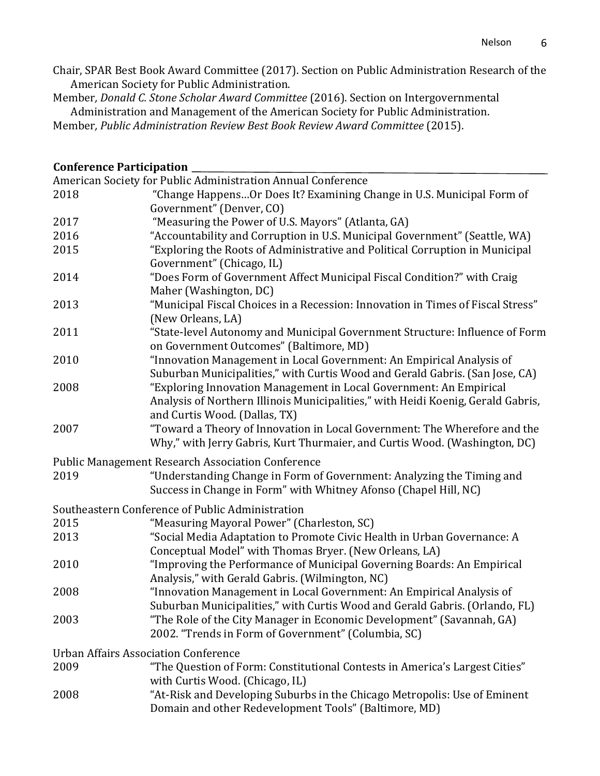Chair, SPAR Best Book Award Committee (2017). Section on Public Administration Research of the American Society for Public Administration.

Member, Donald C. Stone Scholar Award Committee (2016). Section on Intergovernmental Administration and Management of the American Society for Public Administration. Member, Public Administration Review Best Book Review Award Committee (2015).

#### **Conference Participation**

| American Society for Public Administration Annual Conference |                                                                                                                                                                                                             |  |
|--------------------------------------------------------------|-------------------------------------------------------------------------------------------------------------------------------------------------------------------------------------------------------------|--|
| 2018                                                         | "Change HappensOr Does It? Examining Change in U.S. Municipal Form of                                                                                                                                       |  |
|                                                              | Government" (Denver, CO)                                                                                                                                                                                    |  |
| 2017                                                         | "Measuring the Power of U.S. Mayors" (Atlanta, GA)                                                                                                                                                          |  |
| 2016                                                         | "Accountability and Corruption in U.S. Municipal Government" (Seattle, WA)                                                                                                                                  |  |
| 2015                                                         | "Exploring the Roots of Administrative and Political Corruption in Municipal                                                                                                                                |  |
|                                                              | Government" (Chicago, IL)                                                                                                                                                                                   |  |
| 2014                                                         | "Does Form of Government Affect Municipal Fiscal Condition?" with Craig<br>Maher (Washington, DC)                                                                                                           |  |
| 2013                                                         | "Municipal Fiscal Choices in a Recession: Innovation in Times of Fiscal Stress"                                                                                                                             |  |
|                                                              | (New Orleans, LA)                                                                                                                                                                                           |  |
| 2011                                                         | "State-level Autonomy and Municipal Government Structure: Influence of Form<br>on Government Outcomes" (Baltimore, MD)                                                                                      |  |
| 2010                                                         | "Innovation Management in Local Government: An Empirical Analysis of<br>Suburban Municipalities," with Curtis Wood and Gerald Gabris. (San Jose, CA)                                                        |  |
| 2008                                                         | "Exploring Innovation Management in Local Government: An Empirical<br>Analysis of Northern Illinois Municipalities," with Heidi Koenig, Gerald Gabris,<br>and Curtis Wood. (Dallas, TX)                     |  |
| 2007                                                         | "Toward a Theory of Innovation in Local Government: The Wherefore and the<br>Why," with Jerry Gabris, Kurt Thurmaier, and Curtis Wood. (Washington, DC)                                                     |  |
|                                                              | <b>Public Management Research Association Conference</b>                                                                                                                                                    |  |
| 2019                                                         | "Understanding Change in Form of Government: Analyzing the Timing and<br>Success in Change in Form" with Whitney Afonso (Chapel Hill, NC)                                                                   |  |
|                                                              | Southeastern Conference of Public Administration                                                                                                                                                            |  |
| 2015                                                         | "Measuring Mayoral Power" (Charleston, SC)                                                                                                                                                                  |  |
| 2013                                                         | "Social Media Adaptation to Promote Civic Health in Urban Governance: A<br>Conceptual Model" with Thomas Bryer. (New Orleans, LA)                                                                           |  |
| 2010                                                         | "Improving the Performance of Municipal Governing Boards: An Empirical<br>Analysis," with Gerald Gabris. (Wilmington, NC)                                                                                   |  |
| 2008                                                         | "Innovation Management in Local Government: An Empirical Analysis of                                                                                                                                        |  |
| 2003                                                         | Suburban Municipalities," with Curtis Wood and Gerald Gabris. (Orlando, FL)<br>"The Role of the City Manager in Economic Development" (Savannah, GA)<br>2002. "Trends in Form of Government" (Columbia, SC) |  |
| <b>Urban Affairs Association Conference</b>                  |                                                                                                                                                                                                             |  |
| 2009                                                         | "The Question of Form: Constitutional Contests in America's Largest Cities"                                                                                                                                 |  |
|                                                              | with Curtis Wood. (Chicago, IL)                                                                                                                                                                             |  |
| 2008                                                         | "At-Risk and Developing Suburbs in the Chicago Metropolis: Use of Eminent<br>Domain and other Redevelopment Tools" (Baltimore, MD)                                                                          |  |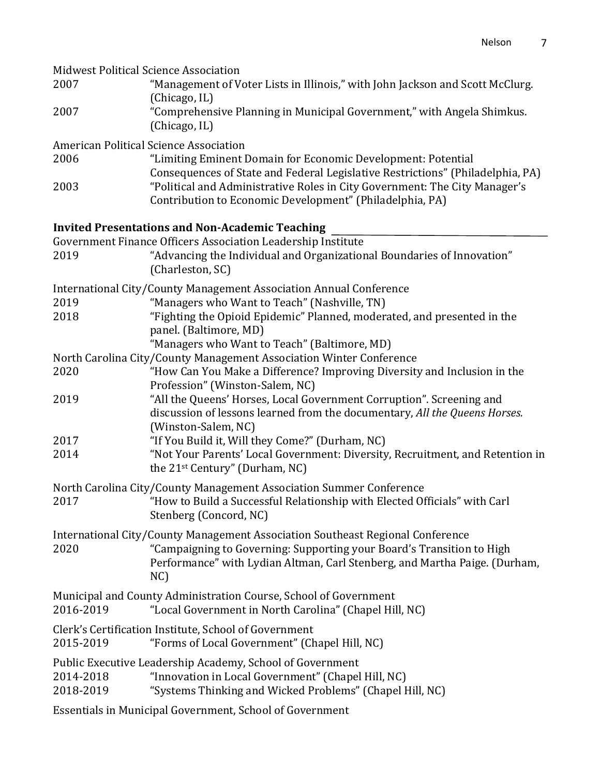| <b>Midwest Political Science Association</b> |                                                                                                                                                                           |
|----------------------------------------------|---------------------------------------------------------------------------------------------------------------------------------------------------------------------------|
| 2007                                         | "Management of Voter Lists in Illinois," with John Jackson and Scott McClurg.<br>(Chicago, IL)                                                                            |
| 2007                                         | "Comprehensive Planning in Municipal Government," with Angela Shimkus.<br>(Chicago, IL)                                                                                   |
|                                              | American Political Science Association                                                                                                                                    |
| 2006                                         | "Limiting Eminent Domain for Economic Development: Potential<br>Consequences of State and Federal Legislative Restrictions" (Philadelphia, PA)                            |
| 2003                                         | "Political and Administrative Roles in City Government: The City Manager's<br>Contribution to Economic Development" (Philadelphia, PA)                                    |
|                                              | <b>Invited Presentations and Non-Academic Teaching</b>                                                                                                                    |
|                                              | Government Finance Officers Association Leadership Institute                                                                                                              |
| 2019                                         | "Advancing the Individual and Organizational Boundaries of Innovation"<br>(Charleston, SC)                                                                                |
|                                              | International City/County Management Association Annual Conference                                                                                                        |
| 2019                                         | "Managers who Want to Teach" (Nashville, TN)                                                                                                                              |
| 2018                                         | "Fighting the Opioid Epidemic" Planned, moderated, and presented in the<br>panel. (Baltimore, MD)                                                                         |
|                                              | "Managers who Want to Teach" (Baltimore, MD)                                                                                                                              |
|                                              | North Carolina City/County Management Association Winter Conference                                                                                                       |
| 2020                                         | "How Can You Make a Difference? Improving Diversity and Inclusion in the<br>Profession" (Winston-Salem, NC)                                                               |
| 2019                                         | "All the Queens' Horses, Local Government Corruption". Screening and<br>discussion of lessons learned from the documentary, All the Queens Horses.<br>(Winston-Salem, NC) |
| 2017                                         | "If You Build it, Will they Come?" (Durham, NC)                                                                                                                           |
| 2014                                         | "Not Your Parents' Local Government: Diversity, Recruitment, and Retention in<br>the 21 <sup>st</sup> Century" (Durham, NC)                                               |
|                                              | North Carolina City/County Management Association Summer Conference                                                                                                       |
| 2017                                         | "How to Build a Successful Relationship with Elected Officials" with Carl<br>Stenberg (Concord, NC)                                                                       |
|                                              | International City/County Management Association Southeast Regional Conference                                                                                            |
| 2020                                         | "Campaigning to Governing: Supporting your Board's Transition to High<br>Performance" with Lydian Altman, Carl Stenberg, and Martha Paige. (Durham,<br>NC                 |
| 2016-2019                                    | Municipal and County Administration Course, School of Government<br>"Local Government in North Carolina" (Chapel Hill, NC)                                                |
| 2015-2019                                    | Clerk's Certification Institute, School of Government<br>"Forms of Local Government" (Chapel Hill, NC)                                                                    |
| 2014-2018                                    | Public Executive Leadership Academy, School of Government<br>"Innovation in Local Government" (Chapel Hill, NC)                                                           |
| 2018-2019                                    | "Systems Thinking and Wicked Problems" (Chapel Hill, NC)                                                                                                                  |
|                                              | Essentials in Municipal Government, School of Government                                                                                                                  |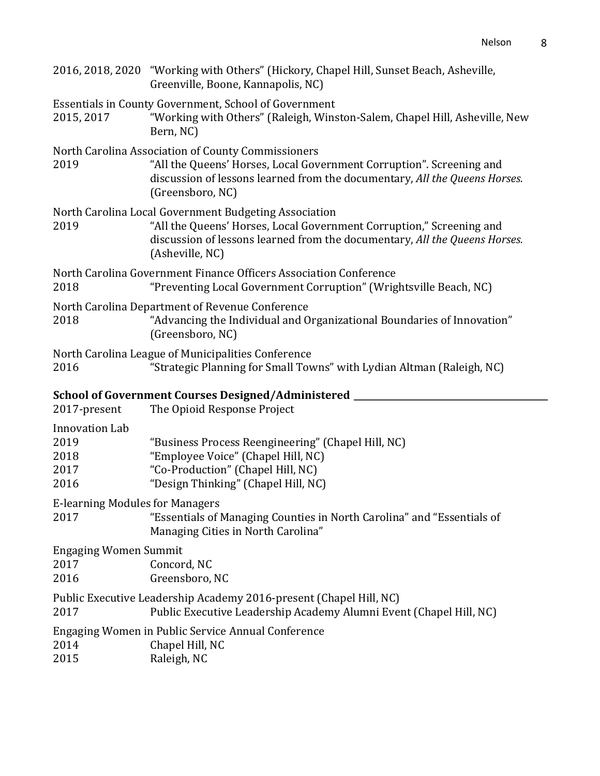|                                                | 2016, 2018, 2020 "Working with Others" (Hickory, Chapel Hill, Sunset Beach, Asheville,<br>Greenville, Boone, Kannapolis, NC)                                                                                                   |
|------------------------------------------------|--------------------------------------------------------------------------------------------------------------------------------------------------------------------------------------------------------------------------------|
| 2015, 2017                                     | <b>Essentials in County Government, School of Government</b><br>"Working with Others" (Raleigh, Winston-Salem, Chapel Hill, Asheville, New<br>Bern, NC)                                                                        |
| 2019                                           | North Carolina Association of County Commissioners<br>"All the Queens' Horses, Local Government Corruption". Screening and<br>discussion of lessons learned from the documentary, All the Queens Horses.<br>(Greensboro, NC)   |
| 2019                                           | North Carolina Local Government Budgeting Association<br>"All the Queens' Horses, Local Government Corruption," Screening and<br>discussion of lessons learned from the documentary, All the Queens Horses.<br>(Asheville, NC) |
| 2018                                           | North Carolina Government Finance Officers Association Conference<br>"Preventing Local Government Corruption" (Wrightsville Beach, NC)                                                                                         |
| 2018                                           | North Carolina Department of Revenue Conference<br>"Advancing the Individual and Organizational Boundaries of Innovation"<br>(Greensboro, NC)                                                                                  |
| 2016                                           | North Carolina League of Municipalities Conference<br>"Strategic Planning for Small Towns" with Lydian Altman (Raleigh, NC)                                                                                                    |
|                                                | School of Government Courses Designed/Administered ___                                                                                                                                                                         |
| 2017-present                                   | The Opioid Response Project                                                                                                                                                                                                    |
| Innovation Lab<br>2019<br>2018<br>2017<br>2016 | "Business Process Reengineering" (Chapel Hill, NC)<br>"Employee Voice" (Chapel Hill, NC)<br>"Co-Production" (Chapel Hill, NC)<br>"Design Thinking" (Chapel Hill, NC)                                                           |
| <b>E-learning Modules for Managers</b><br>2017 | "Essentials of Managing Counties in North Carolina" and "Essentials of<br>Managing Cities in North Carolina"                                                                                                                   |
| <b>Engaging Women Summit</b><br>2017<br>2016   | Concord, NC<br>Greensboro, NC                                                                                                                                                                                                  |
| 2017                                           | Public Executive Leadership Academy 2016-present (Chapel Hill, NC)<br>Public Executive Leadership Academy Alumni Event (Chapel Hill, NC)                                                                                       |
| 2014<br>2015                                   | Engaging Women in Public Service Annual Conference<br>Chapel Hill, NC<br>Raleigh, NC                                                                                                                                           |